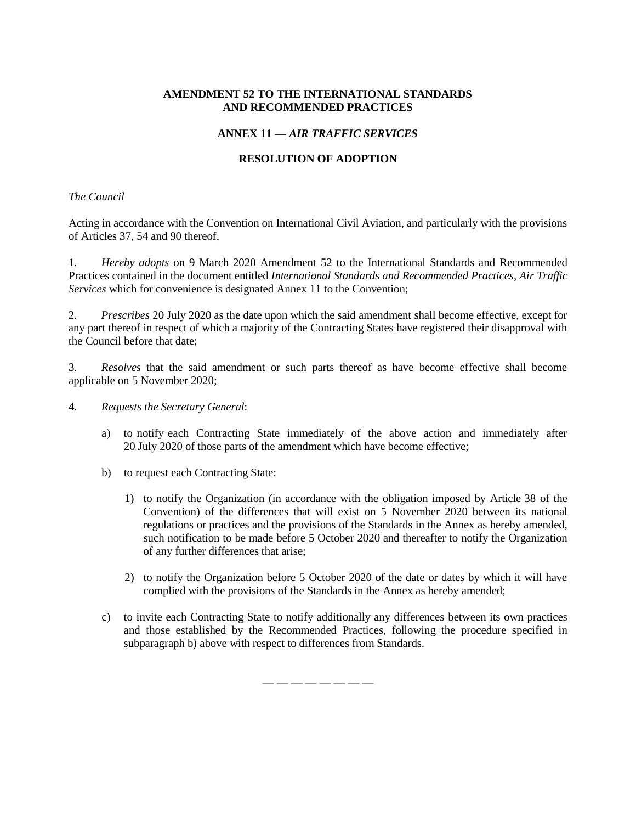## **AMENDMENT 52 TO THE INTERNATIONAL STANDARDS AND RECOMMENDED PRACTICES**

# **ANNEX 11 —** *AIR TRAFFIC SERVICES*

# **RESOLUTION OF ADOPTION**

## *The Council*

Acting in accordance with the Convention on International Civil Aviation, and particularly with the provisions of Articles 37, 54 and 90 thereof,

1. *Hereby adopts* on 9 March 2020 Amendment 52 to the International Standards and Recommended Practices contained in the document entitled *International Standards and Recommended Practices, Air Traffic Services* which for convenience is designated Annex 11 to the Convention;

2. *Prescribes* 20 July 2020 as the date upon which the said amendment shall become effective, except for any part thereof in respect of which a majority of the Contracting States have registered their disapproval with the Council before that date;

3. *Resolves* that the said amendment or such parts thereof as have become effective shall become applicable on 5 November 2020;

4. *Requests the Secretary General*:

- a) to notify each Contracting State immediately of the above action and immediately after 20 July 2020 of those parts of the amendment which have become effective;
- b) to request each Contracting State:
	- 1) to notify the Organization (in accordance with the obligation imposed by Article 38 of the Convention) of the differences that will exist on 5 November 2020 between its national regulations or practices and the provisions of the Standards in the Annex as hereby amended, such notification to be made before 5 October 2020 and thereafter to notify the Organization of any further differences that arise;
	- 2) to notify the Organization before 5 October 2020 of the date or dates by which it will have complied with the provisions of the Standards in the Annex as hereby amended;
- c) to invite each Contracting State to notify additionally any differences between its own practices and those established by the Recommended Practices, following the procedure specified in subparagraph b) above with respect to differences from Standards.

— — — — — — — —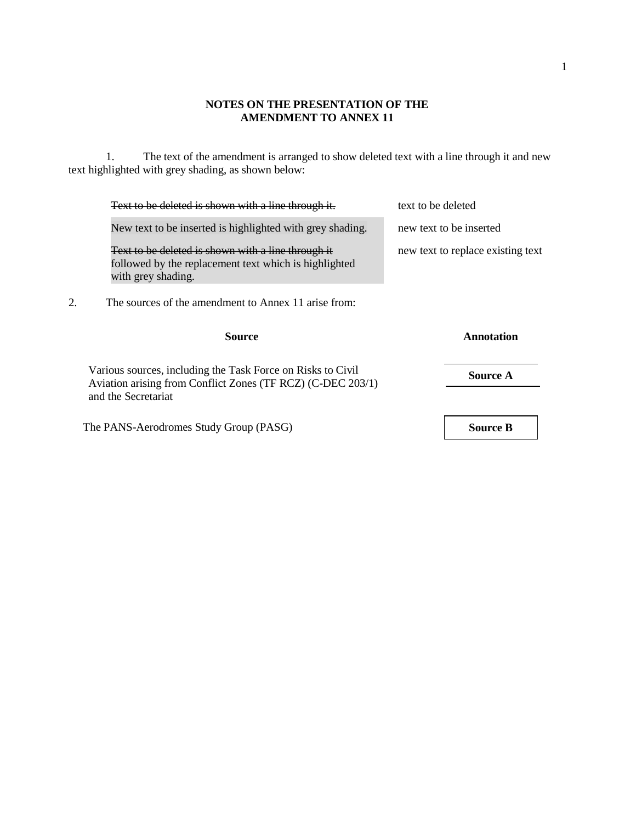# **NOTES ON THE PRESENTATION OF THE AMENDMENT TO ANNEX 11**

1. The text of the amendment is arranged to show deleted text with a line through it and new text highlighted with grey shading, as shown below:

| Text to be deleted is shown with a line through it.                                                                                               | text to be deleted                |
|---------------------------------------------------------------------------------------------------------------------------------------------------|-----------------------------------|
| New text to be inserted is highlighted with grey shading.                                                                                         | new text to be inserted           |
| Text to be deleted is shown with a line through it<br>followed by the replacement text which is highlighted<br>with grey shading.                 | new text to replace existing text |
| 2.<br>The sources of the amendment to Annex 11 arise from:                                                                                        |                                   |
| Source                                                                                                                                            | Annotation                        |
| Various sources, including the Task Force on Risks to Civil<br>Aviation arising from Conflict Zones (TF RCZ) (C-DEC 203/1)<br>and the Secretariat | <b>Source A</b>                   |
|                                                                                                                                                   |                                   |

1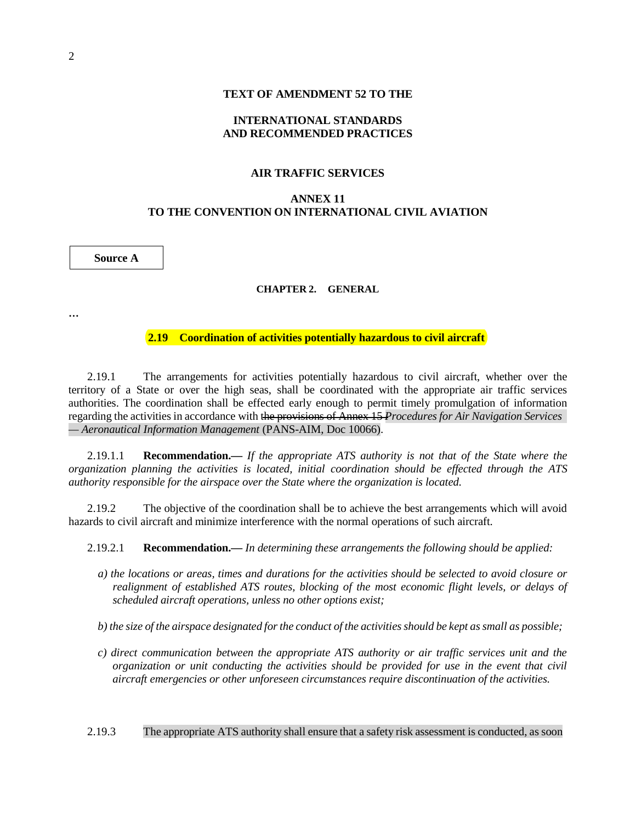#### **TEXT OF AMENDMENT 52 TO THE**

# **INTERNATIONAL STANDARDS AND RECOMMENDED PRACTICES**

#### **AIR TRAFFIC SERVICES**

## **ANNEX 11 TO THE CONVENTION ON INTERNATIONAL CIVIL AVIATION**

### **Source A**

#### **CHAPTER 2. GENERAL**

**…**

**2.19 Coordination of activities potentially hazardous to civil aircraft**

2.19.1 The arrangements for activities potentially hazardous to civil aircraft, whether over the territory of a State or over the high seas, shall be coordinated with the appropriate air traffic services authorities. The coordination shall be effected early enough to permit timely promulgation of information regarding the activities in accordance with the provisions of Annex 15 *Procedures for Air Navigation Services — Aeronautical Information Management* (PANS-AIM, Doc 10066).

2.19.1.1 **Recommendation.—** *If the appropriate ATS authority is not that of the State where the organization planning the activities is located, initial coordination should be effected through the ATS authority responsible for the airspace over the State where the organization is located.*

2.19.2 The objective of the coordination shall be to achieve the best arrangements which will avoid hazards to civil aircraft and minimize interference with the normal operations of such aircraft.

2.19.2.1 **Recommendation.—** *In determining these arrangements the following should be applied:*

a) the locations or areas, times and durations for the activities should be selected to avoid closure or *realignment of established ATS routes, blocking of the most economic flight levels, or delays of scheduled aircraft operations, unless no other options exist;*

b) the size of the airspace designated for the conduct of the activities should be kept as small as possible;

*c) direct communication between the appropriate ATS authority or air traffic services unit and the organization or unit conducting the activities should be provided for use in the event that civil aircraft emergencies or other unforeseen circumstances require discontinuation of the activities.*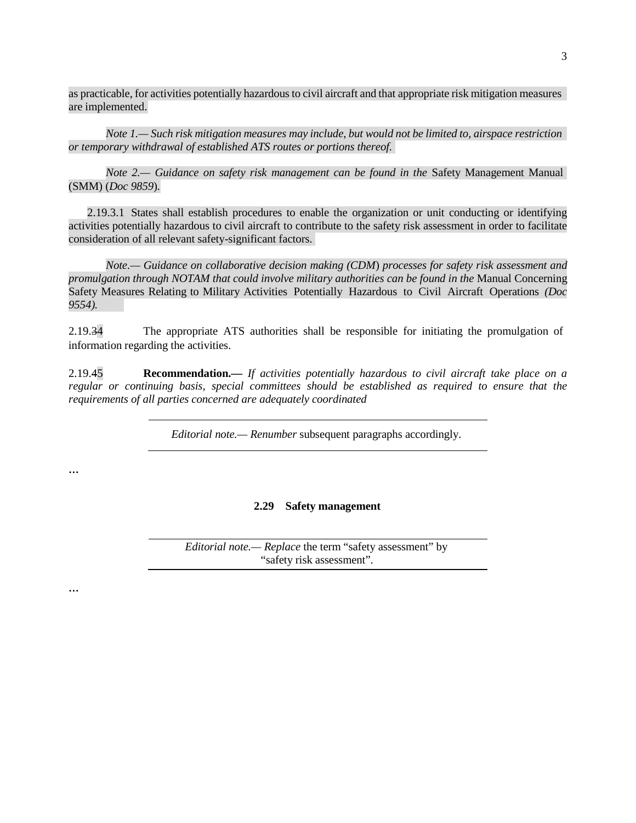as practicable, for activities potentially hazardousto civil aircraft and that appropriate risk mitigation measures are implemented.

*Note 1.— Such risk mitigation measures may include, but would not be limited to, airspace restriction or temporary withdrawal of established ATS routes or portions thereof.*

*Note 2.— Guidance on safety risk management can be found in the* Safety Management Manual (SMM) (*Doc 9859*)*.*

2.19.3.1 States shall establish procedures to enable the organization or unit conducting or identifying activities potentially hazardous to civil aircraft to contribute to the safety risk assessment in order to facilitate consideration of all relevant safety-significant factors.

*Note.— Guidance on collaborative decision making (CDM*) *processes for safety risk assessment and promulgation through NOTAM that could involve military authorities can be found in the* Manual Concerning Safety Measures Relating to Military Activities Potentially Hazardous to Civil Aircraft Operations *(Doc 9554).*

2.19.34 The appropriate ATS authorities shall be responsible for initiating the promulgation of information regarding the activities.

2.19.45 **Recommendation.—** *If activities potentially hazardous to civil aircraft take place on a regular or continuing basis, special committees should be established as required to ensure that the requirements of all parties concerned are adequately coordinated*

*Editorial note.— Renumber* subsequent paragraphs accordingly.

**…**

## **2.29 Safety management**

*Editorial note.— Replace* the term "safety assessment" by "safety risk assessment".